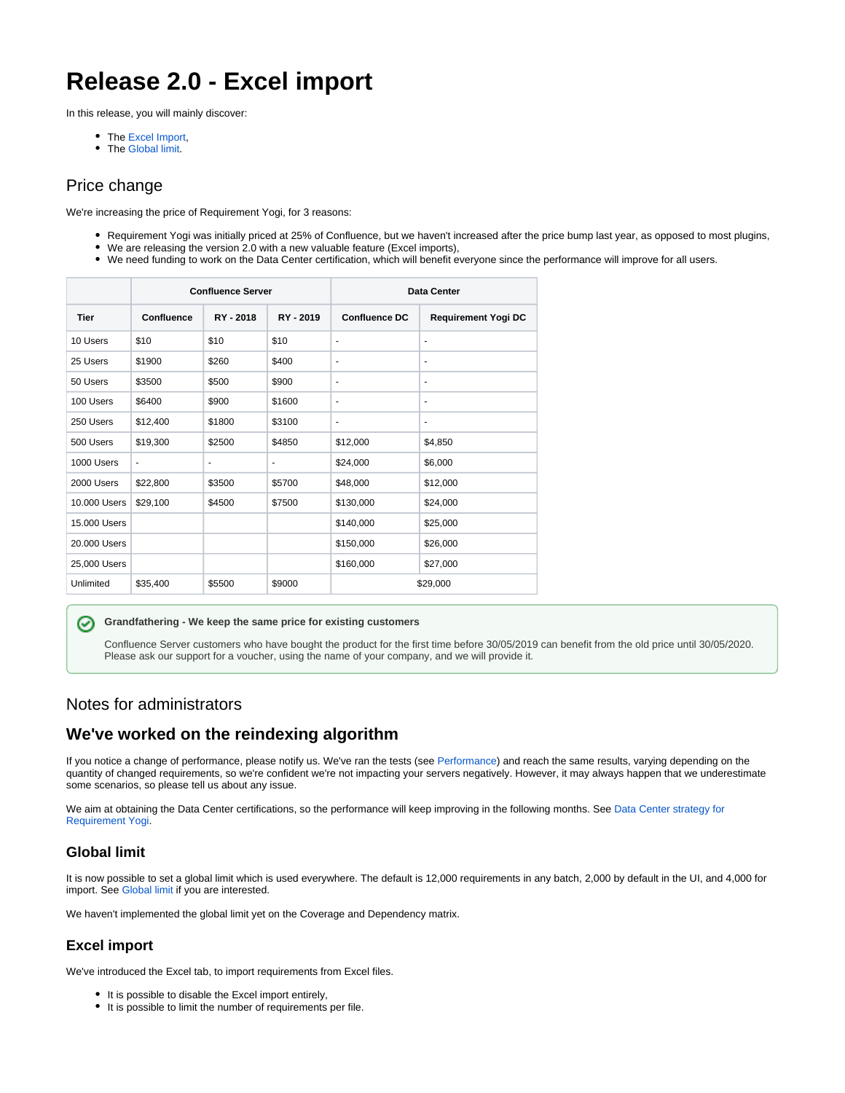# **Release 2.0 - Excel import**

In this release, you will mainly discover:

- The [Excel Import,](https://documentation.requirementyogi.com/display/RY/Excel+Import)
- The [Global limit](https://documentation.requirementyogi.com/pages/viewpage.action?pageId=45744152).

# Price change

We're increasing the price of Requirement Yogi, for 3 reasons:

- Requirement Yogi was initially priced at 25% of Confluence, but we haven't increased after the price bump last year, as opposed to most plugins,
- We are releasing the version 2.0 with a new valuable feature (Excel imports),
- We need funding to work on the Data Center certification, which will benefit everyone since the performance will improve for all users.

|                           |                          | <b>Confluence Server</b> |           | Data Center              |                            |  |  |
|---------------------------|--------------------------|--------------------------|-----------|--------------------------|----------------------------|--|--|
| <b>Tier</b><br>Confluence |                          | RY - 2018                | RY - 2019 | <b>Confluence DC</b>     | <b>Requirement Yogi DC</b> |  |  |
| 10 Users                  | \$10                     | \$10                     | \$10      | $\overline{\phantom{a}}$ | $\overline{\phantom{a}}$   |  |  |
| 25 Users                  | \$1900                   | \$260                    | \$400     | $\overline{\phantom{a}}$ | $\overline{\phantom{a}}$   |  |  |
| 50 Users                  | \$3500                   | \$500                    | \$900     | ٠                        | $\overline{\phantom{a}}$   |  |  |
| 100 Users                 | \$6400                   | \$900                    | \$1600    | $\overline{\phantom{a}}$ | $\overline{\phantom{a}}$   |  |  |
| 250 Users                 | \$12,400                 | \$1800                   | \$3100    | ٠                        | $\overline{\phantom{a}}$   |  |  |
| 500 Users                 | \$19,300                 | \$2500                   | \$4850    | \$12,000                 | \$4,850                    |  |  |
| 1000 Users                | $\overline{\phantom{a}}$ | $\overline{\phantom{m}}$ | ٠         | \$24,000                 | \$6,000                    |  |  |
| 2000 Users                | \$22,800                 | \$3500                   | \$5700    | \$48,000                 | \$12,000                   |  |  |
| 10,000 Users              | \$29,100                 | \$4500                   | \$7500    | \$130,000                | \$24,000                   |  |  |
| 15,000 Users              |                          |                          |           | \$140,000                | \$25,000                   |  |  |
| 20,000 Users              |                          |                          |           | \$150,000                | \$26,000                   |  |  |
| 25,000 Users              |                          |                          |           | \$160,000                | \$27,000                   |  |  |
| Unlimited                 | \$35,400                 | \$5500                   | \$9000    | \$29,000                 |                            |  |  |

#### の **Grandfathering - We keep the same price for existing customers**

Confluence Server customers who have bought the product for the first time before 30/05/2019 can benefit from the old price until 30/05/2020. Please ask our support for a voucher, using the name of your company, and we will provide it.

#### Notes for administrators

# **We've worked on the reindexing algorithm**

If you notice a change of performance, please notify us. We've ran the tests (see [Performance](https://documentation.requirementyogi.com/display/RY/Performance)) and reach the same results, varying depending on the quantity of changed requirements, so we're confident we're not impacting your servers negatively. However, it may always happen that we underestimate some scenarios, so please tell us about any issue.

We aim at obtaining the Data Center certifications, so the performance will keep improving in the following months. See Data Center strategy for [Requirement Yogi](https://documentation.requirementyogi.com/display/RY/Data+Center+strategy+for+Requirement+Yogi).

#### **Global limit**

It is now possible to set a global limit which is used everywhere. The default is 12,000 requirements in any batch, 2,000 by default in the UI, and 4,000 for import. See [Global limit](https://documentation.requirementyogi.com/pages/viewpage.action?pageId=45744152) if you are interested.

We haven't implemented the global limit yet on the Coverage and Dependency matrix.

#### **Excel import**

We've introduced the Excel tab, to import requirements from Excel files.

- It is possible to disable the Excel import entirely,
- $\bullet$  It is possible to limit the number of requirements per file.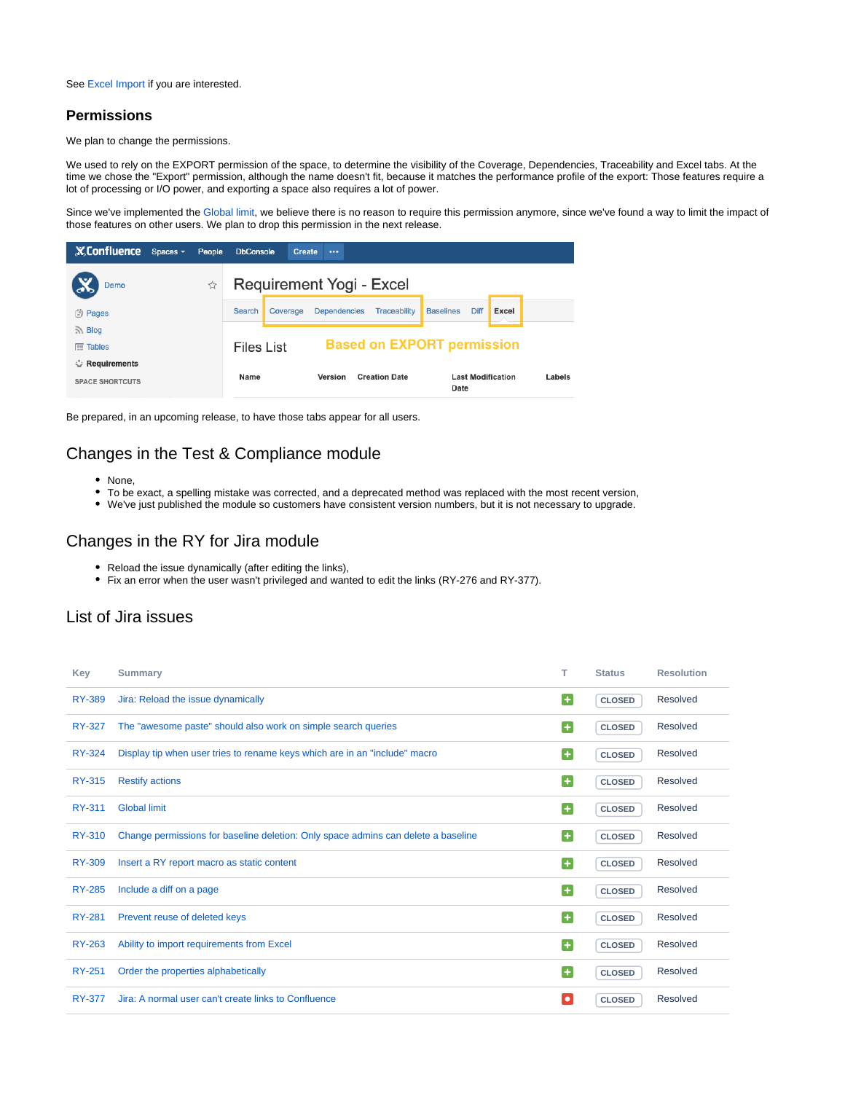See [Excel Import](https://documentation.requirementyogi.com/display/RY/Excel+Import) if you are interested.

#### **Permissions**

We plan to change the permissions.

We used to rely on the EXPORT permission of the space, to determine the visibility of the Coverage, Dependencies, Traceability and Excel tabs. At the time we chose the "Export" permission, although the name doesn't fit, because it matches the performance profile of the export: Those features require a lot of processing or I/O power, and exporting a space also requires a lot of power.

Since we've implemented the [Global limit](https://documentation.requirementyogi.com/pages/viewpage.action?pageId=45744152), we believe there is no reason to require this permission anymore, since we've found a way to limit the impact of those features on other users. We plan to drop this permission in the next release.

| <b>X</b> Confluence    | Spaces - | People | <b>DbConsole</b>                                | <b>Create</b> | $\cdots$                        |              |                                  |      |       |        |
|------------------------|----------|--------|-------------------------------------------------|---------------|---------------------------------|--------------|----------------------------------|------|-------|--------|
| Demo<br>C              |          | ☆      | Requirement Yogi - Excel                        |               |                                 |              |                                  |      |       |        |
| <b>③ Pages</b>         |          |        | Search                                          | Coverage      | <b>Dependencies</b>             | Traceability | <b>Baselines</b>                 | Diff | Excel |        |
| $\sum$ Blog            |          |        |                                                 |               |                                 |              |                                  |      |       |        |
| $E$ Tables             |          |        | <b>Based on EXPORT permission</b><br>Files List |               |                                 |              |                                  |      |       |        |
| Requirements           |          |        |                                                 |               |                                 |              |                                  |      |       |        |
| <b>SPACE SHORTCUTS</b> |          |        | Name                                            |               | Version<br><b>Creation Date</b> |              | <b>Last Modification</b><br>Date |      |       | Labels |

Be prepared, in an upcoming release, to have those tabs appear for all users.

## Changes in the Test & Compliance module

- None,
- To be exact, a spelling mistake was corrected, and a deprecated method was replaced with the most recent version,
- We've just published the module so customers have consistent version numbers, but it is not necessary to upgrade.

### Changes in the RY for Jira module

- Reload the issue dynamically (after editing the links),
- Fix an error when the user wasn't privileged and wanted to edit the links (RY-276 and RY-377).

#### List of Jira issues

| Key           | <b>Summary</b>                                                                    | т                      | <b>Status</b> | <b>Resolution</b> |
|---------------|-----------------------------------------------------------------------------------|------------------------|---------------|-------------------|
| <b>RY-389</b> | Jira: Reload the issue dynamically                                                | Œ                      | <b>CLOSED</b> | Resolved          |
| <b>RY-327</b> | The "awesome paste" should also work on simple search queries                     | Œ                      | <b>CLOSED</b> | Resolved          |
| <b>RY-324</b> | Display tip when user tries to rename keys which are in an "include" macro        | $\left  \cdot \right $ | <b>CLOSED</b> | Resolved          |
| <b>RY-315</b> | <b>Restify actions</b>                                                            | Ð                      | <b>CLOSED</b> | Resolved          |
| RY-311        | <b>Global limit</b>                                                               | ٠                      | <b>CLOSED</b> | Resolved          |
| <b>RY-310</b> | Change permissions for baseline deletion: Only space admins can delete a baseline | G                      | <b>CLOSED</b> | Resolved          |
| <b>RY-309</b> | Insert a RY report macro as static content                                        | Œ                      | <b>CLOSED</b> | Resolved          |
| <b>RY-285</b> | Include a diff on a page                                                          | $\overline{+}$         | <b>CLOSED</b> | Resolved          |
| <b>RY-281</b> | Prevent reuse of deleted keys                                                     | $\left  + \right $     | <b>CLOSED</b> | Resolved          |
| <b>RY-263</b> | Ability to import requirements from Excel                                         | Œ                      | <b>CLOSED</b> | Resolved          |
| <b>RY-251</b> | Order the properties alphabetically                                               | G                      | <b>CLOSED</b> | Resolved          |
| <b>RY-377</b> | Jira: A normal user can't create links to Confluence                              | $\bullet$              | <b>CLOSED</b> | Resolved          |